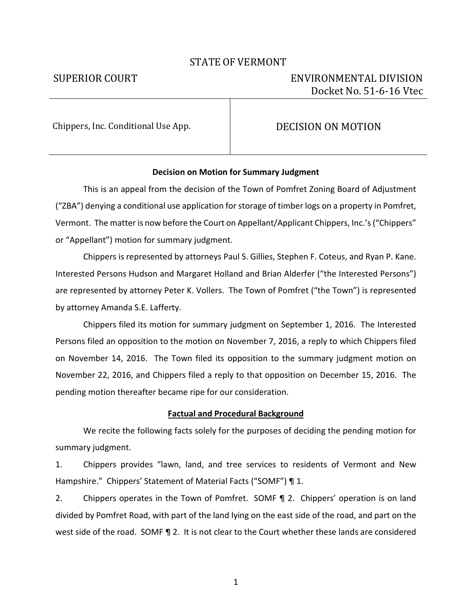## STATE OF VERMONT

# SUPERIOR COURT ENVIRONMENTAL DIVISION Docket No. 51-6-16 Vtec

Chippers, Inc. Conditional Use App. DECISION ON MOTION

## **Decision on Motion for Summary Judgment**

This is an appeal from the decision of the Town of Pomfret Zoning Board of Adjustment ("ZBA") denying a conditional use application for storage of timber logs on a property in Pomfret, Vermont. The matter is now before the Court on Appellant/Applicant Chippers, Inc.'s ("Chippers" or "Appellant") motion for summary judgment.

Chippers is represented by attorneys Paul S. Gillies, Stephen F. Coteus, and Ryan P. Kane. Interested Persons Hudson and Margaret Holland and Brian Alderfer ("the Interested Persons") are represented by attorney Peter K. Vollers. The Town of Pomfret ("the Town") is represented by attorney Amanda S.E. Lafferty.

Chippers filed its motion for summary judgment on September 1, 2016. The Interested Persons filed an opposition to the motion on November 7, 2016, a reply to which Chippers filed on November 14, 2016. The Town filed its opposition to the summary judgment motion on November 22, 2016, and Chippers filed a reply to that opposition on December 15, 2016. The pending motion thereafter became ripe for our consideration.

## **Factual and Procedural Background**

We recite the following facts solely for the purposes of deciding the pending motion for summary judgment.

1. Chippers provides "lawn, land, and tree services to residents of Vermont and New Hampshire." Chippers' Statement of Material Facts ("SOMF") ¶ 1.

2. Chippers operates in the Town of Pomfret. SOMF ¶ 2. Chippers' operation is on land divided by Pomfret Road, with part of the land lying on the east side of the road, and part on the west side of the road. SOMF ¶ 2. It is not clear to the Court whether these lands are considered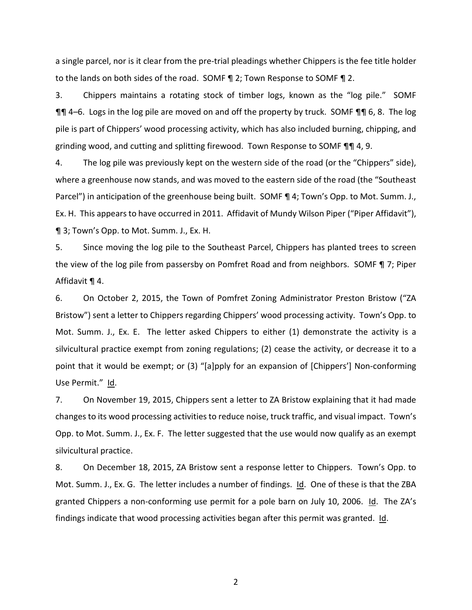a single parcel, nor is it clear from the pre-trial pleadings whether Chippers is the fee title holder to the lands on both sides of the road. SOMF ¶ 2; Town Response to SOMF ¶ 2.

3. Chippers maintains a rotating stock of timber logs, known as the "log pile." SOMF  $\P\P$  $4$ –6. Logs in the log pile are moved on and off the property by truck. SOMF  $\P$  $\P$  $6$ , 8. The log pile is part of Chippers' wood processing activity, which has also included burning, chipping, and grinding wood, and cutting and splitting firewood. Town Response to SOMF ¶¶ 4, 9.

4. The log pile was previously kept on the western side of the road (or the "Chippers" side), where a greenhouse now stands, and was moved to the eastern side of the road (the "Southeast Parcel") in anticipation of the greenhouse being built. SOMF ¶ 4; Town's Opp. to Mot. Summ. J., Ex. H. This appears to have occurred in 2011. Affidavit of Mundy Wilson Piper ("Piper Affidavit"), ¶ 3; Town's Opp. to Mot. Summ. J., Ex. H.

5. Since moving the log pile to the Southeast Parcel, Chippers has planted trees to screen the view of the log pile from passersby on Pomfret Road and from neighbors. SOMF ¶ 7; Piper Affidavit ¶ 4.

6. On October 2, 2015, the Town of Pomfret Zoning Administrator Preston Bristow ("ZA Bristow") sent a letter to Chippers regarding Chippers' wood processing activity. Town's Opp. to Mot. Summ. J., Ex. E. The letter asked Chippers to either (1) demonstrate the activity is a silvicultural practice exempt from zoning regulations; (2) cease the activity, or decrease it to a point that it would be exempt; or (3) "[a]pply for an expansion of [Chippers'] Non-conforming Use Permit." Id.

7. On November 19, 2015, Chippers sent a letter to ZA Bristow explaining that it had made changes to its wood processing activities to reduce noise, truck traffic, and visual impact. Town's Opp. to Mot. Summ. J., Ex. F. The letter suggested that the use would now qualify as an exempt silvicultural practice.

8. On December 18, 2015, ZA Bristow sent a response letter to Chippers. Town's Opp. to Mot. Summ. J., Ex. G. The letter includes a number of findings. Id. One of these is that the ZBA granted Chippers a non-conforming use permit for a pole barn on July 10, 2006. Id. The ZA's findings indicate that wood processing activities began after this permit was granted. Id.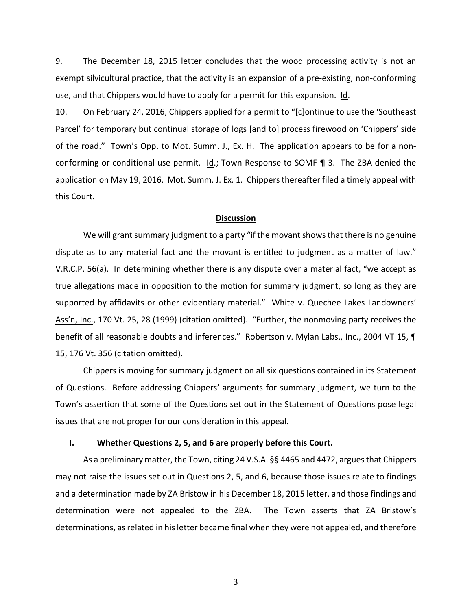9. The December 18, 2015 letter concludes that the wood processing activity is not an exempt silvicultural practice, that the activity is an expansion of a pre-existing, non-conforming use, and that Chippers would have to apply for a permit for this expansion. Id.

10. On February 24, 2016, Chippers applied for a permit to "[c]ontinue to use the 'Southeast Parcel' for temporary but continual storage of logs [and to] process firewood on 'Chippers' side of the road." Town's Opp. to Mot. Summ. J., Ex. H. The application appears to be for a nonconforming or conditional use permit.  $Id$ .; Town Response to SOMF ¶ 3. The ZBA denied the application on May 19, 2016. Mot. Summ. J. Ex. 1. Chippers thereafter filed a timely appeal with this Court.

#### **Discussion**

We will grant summary judgment to a party "if the movant shows that there is no genuine dispute as to any material fact and the movant is entitled to judgment as a matter of law." V.R.C.P. 56(a). In determining whether there is any dispute over a material fact, "we accept as true allegations made in opposition to the motion for summary judgment, so long as they are supported by affidavits or other evidentiary material." White v. Quechee Lakes Landowners' Ass'n, Inc., 170 Vt. 25, 28 (1999) (citation omitted). "Further, the nonmoving party receives the benefit of all reasonable doubts and inferences." Robertson v. Mylan Labs., Inc., 2004 VT 15, ¶ 15, 176 Vt. 356 (citation omitted).

 Chippers is moving for summary judgment on all six questions contained in its Statement of Questions. Before addressing Chippers' arguments for summary judgment, we turn to the Town's assertion that some of the Questions set out in the Statement of Questions pose legal issues that are not proper for our consideration in this appeal.

## **I. Whether Questions 2, 5, and 6 are properly before this Court.**

As a preliminary matter, the Town, citing 24 V.S.A. §§ 4465 and 4472, argues that Chippers may not raise the issues set out in Questions 2, 5, and 6, because those issues relate to findings and a determination made by ZA Bristow in his December 18, 2015 letter, and those findings and determination were not appealed to the ZBA. The Town asserts that ZA Bristow's determinations, as related in his letter became final when they were not appealed, and therefore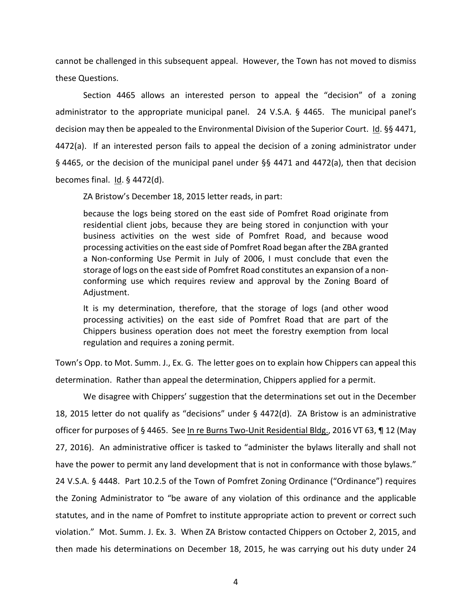cannot be challenged in this subsequent appeal. However, the Town has not moved to dismiss these Questions.

Section 4465 allows an interested person to appeal the "decision" of a zoning administrator to the appropriate municipal panel. 24 V.S.A. § 4465. The municipal panel's decision may then be appealed to the Environmental Division of the Superior Court. Id. §§ 4471, 4472(a). If an interested person fails to appeal the decision of a zoning administrator under § 4465, or the decision of the municipal panel under §§ 4471 and 4472(a), then that decision becomes final. Id. § 4472(d).

ZA Bristow's December 18, 2015 letter reads, in part:

because the logs being stored on the east side of Pomfret Road originate from residential client jobs, because they are being stored in conjunction with your business activities on the west side of Pomfret Road, and because wood processing activities on the east side of Pomfret Road began after the ZBA granted a Non-conforming Use Permit in July of 2006, I must conclude that even the storage of logs on the east side of Pomfret Road constitutes an expansion of a nonconforming use which requires review and approval by the Zoning Board of Adjustment.

It is my determination, therefore, that the storage of logs (and other wood processing activities) on the east side of Pomfret Road that are part of the Chippers business operation does not meet the forestry exemption from local regulation and requires a zoning permit.

Town's Opp. to Mot. Summ. J., Ex. G. The letter goes on to explain how Chippers can appeal this determination. Rather than appeal the determination, Chippers applied for a permit.

We disagree with Chippers' suggestion that the determinations set out in the December 18, 2015 letter do not qualify as "decisions" under § 4472(d). ZA Bristow is an administrative officer for purposes of § 4465. See In re Burns Two-Unit Residential Bldg., 2016 VT 63, ¶ 12 (May 27, 2016). An administrative officer is tasked to "administer the bylaws literally and shall not have the power to permit any land development that is not in conformance with those bylaws." 24 V.S.A. § 4448. Part 10.2.5 of the Town of Pomfret Zoning Ordinance ("Ordinance") requires the Zoning Administrator to "be aware of any violation of this ordinance and the applicable statutes, and in the name of Pomfret to institute appropriate action to prevent or correct such violation." Mot. Summ. J. Ex. 3. When ZA Bristow contacted Chippers on October 2, 2015, and then made his determinations on December 18, 2015, he was carrying out his duty under 24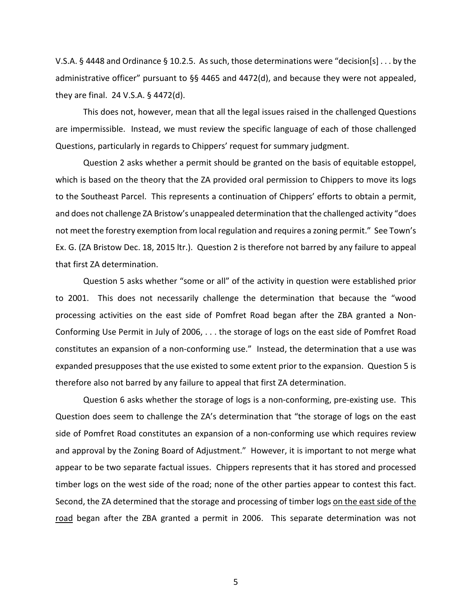V.S.A. § 4448 and Ordinance § 10.2.5. As such, those determinations were "decision[s] . . . by the administrative officer" pursuant to §§ 4465 and 4472(d), and because they were not appealed, they are final. 24 V.S.A. § 4472(d).

This does not, however, mean that all the legal issues raised in the challenged Questions are impermissible. Instead, we must review the specific language of each of those challenged Questions, particularly in regards to Chippers' request for summary judgment.

Question 2 asks whether a permit should be granted on the basis of equitable estoppel, which is based on the theory that the ZA provided oral permission to Chippers to move its logs to the Southeast Parcel. This represents a continuation of Chippers' efforts to obtain a permit, and does not challenge ZA Bristow's unappealed determination that the challenged activity "does not meet the forestry exemption from local regulation and requires a zoning permit." See Town's Ex. G. (ZA Bristow Dec. 18, 2015 ltr.). Question 2 is therefore not barred by any failure to appeal that first ZA determination.

Question 5 asks whether "some or all" of the activity in question were established prior to 2001. This does not necessarily challenge the determination that because the "wood processing activities on the east side of Pomfret Road began after the ZBA granted a Non-Conforming Use Permit in July of 2006, . . . the storage of logs on the east side of Pomfret Road constitutes an expansion of a non-conforming use." Instead, the determination that a use was expanded presupposes that the use existed to some extent prior to the expansion. Question 5 is therefore also not barred by any failure to appeal that first ZA determination.

Question 6 asks whether the storage of logs is a non-conforming, pre-existing use. This Question does seem to challenge the ZA's determination that "the storage of logs on the east side of Pomfret Road constitutes an expansion of a non-conforming use which requires review and approval by the Zoning Board of Adjustment." However, it is important to not merge what appear to be two separate factual issues. Chippers represents that it has stored and processed timber logs on the west side of the road; none of the other parties appear to contest this fact. Second, the ZA determined that the storage and processing of timber logs on the east side of the road began after the ZBA granted a permit in 2006. This separate determination was not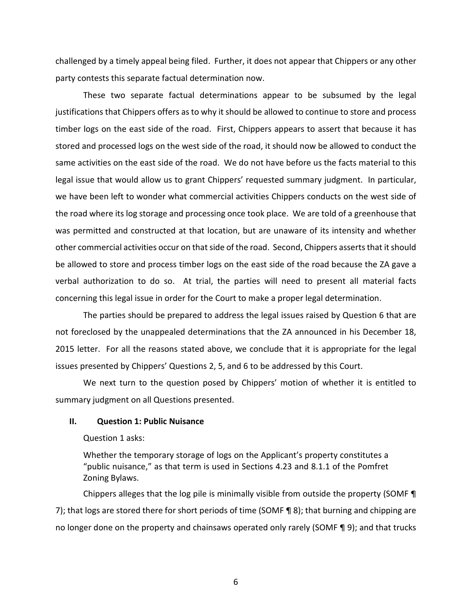challenged by a timely appeal being filed. Further, it does not appear that Chippers or any other party contests this separate factual determination now.

These two separate factual determinations appear to be subsumed by the legal justifications that Chippers offers as to why it should be allowed to continue to store and process timber logs on the east side of the road. First, Chippers appears to assert that because it has stored and processed logs on the west side of the road, it should now be allowed to conduct the same activities on the east side of the road. We do not have before us the facts material to this legal issue that would allow us to grant Chippers' requested summary judgment. In particular, we have been left to wonder what commercial activities Chippers conducts on the west side of the road where its log storage and processing once took place. We are told of a greenhouse that was permitted and constructed at that location, but are unaware of its intensity and whether other commercial activities occur on that side of the road. Second, Chippers asserts that it should be allowed to store and process timber logs on the east side of the road because the ZA gave a verbal authorization to do so. At trial, the parties will need to present all material facts concerning this legal issue in order for the Court to make a proper legal determination.

The parties should be prepared to address the legal issues raised by Question 6 that are not foreclosed by the unappealed determinations that the ZA announced in his December 18, 2015 letter. For all the reasons stated above, we conclude that it is appropriate for the legal issues presented by Chippers' Questions 2, 5, and 6 to be addressed by this Court.

We next turn to the question posed by Chippers' motion of whether it is entitled to summary judgment on all Questions presented.

#### **II. Question 1: Public Nuisance**

#### Question 1 asks:

Whether the temporary storage of logs on the Applicant's property constitutes a "public nuisance," as that term is used in Sections 4.23 and 8.1.1 of the Pomfret Zoning Bylaws.

Chippers alleges that the log pile is minimally visible from outside the property (SOMF ¶ 7); that logs are stored there for short periods of time (SOMF ¶ 8); that burning and chipping are no longer done on the property and chainsaws operated only rarely (SOMF ¶ 9); and that trucks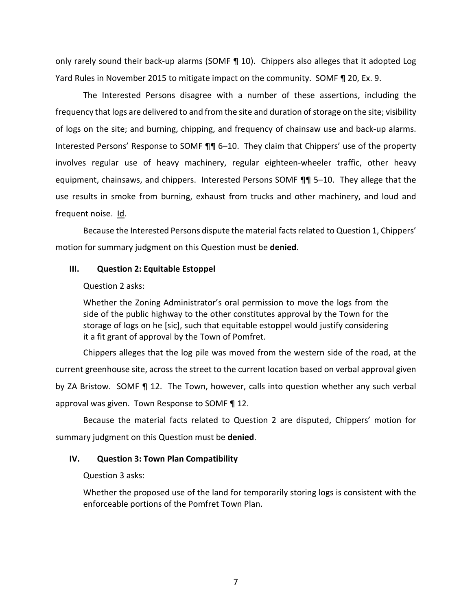only rarely sound their back-up alarms (SOMF ¶ 10). Chippers also alleges that it adopted Log Yard Rules in November 2015 to mitigate impact on the community. SOMF ¶ 20, Ex. 9.

The Interested Persons disagree with a number of these assertions, including the frequency that logs are delivered to and from the site and duration of storage on the site; visibility of logs on the site; and burning, chipping, and frequency of chainsaw use and back-up alarms. Interested Persons' Response to SOMF ¶¶ 6–10. They claim that Chippers' use of the property involves regular use of heavy machinery, regular eighteen-wheeler traffic, other heavy equipment, chainsaws, and chippers. Interested Persons SOMF ¶¶ 5–10. They allege that the use results in smoke from burning, exhaust from trucks and other machinery, and loud and frequent noise. Id.

Because the Interested Persons dispute the material facts related to Question 1, Chippers' motion for summary judgment on this Question must be **denied**.

### **III. Question 2: Equitable Estoppel**

#### Question 2 asks:

Whether the Zoning Administrator's oral permission to move the logs from the side of the public highway to the other constitutes approval by the Town for the storage of logs on he [sic], such that equitable estoppel would justify considering it a fit grant of approval by the Town of Pomfret.

Chippers alleges that the log pile was moved from the western side of the road, at the current greenhouse site, across the street to the current location based on verbal approval given by ZA Bristow. SOMF ¶ 12. The Town, however, calls into question whether any such verbal approval was given. Town Response to SOMF ¶ 12.

Because the material facts related to Question 2 are disputed, Chippers' motion for summary judgment on this Question must be **denied**.

### **IV. Question 3: Town Plan Compatibility**

## Question 3 asks:

Whether the proposed use of the land for temporarily storing logs is consistent with the enforceable portions of the Pomfret Town Plan.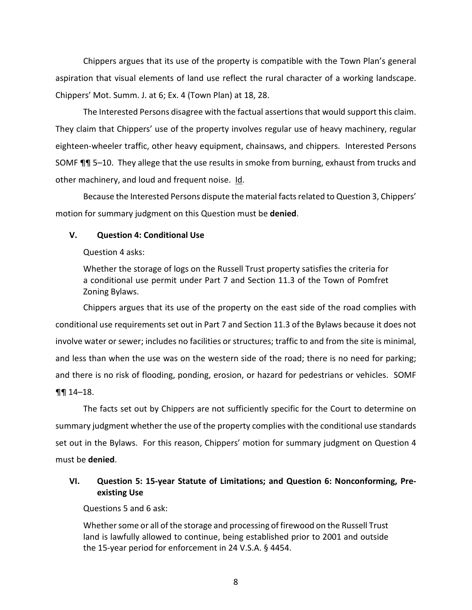Chippers argues that its use of the property is compatible with the Town Plan's general aspiration that visual elements of land use reflect the rural character of a working landscape. Chippers' Mot. Summ. J. at 6; Ex. 4 (Town Plan) at 18, 28.

The Interested Persons disagree with the factual assertions that would support this claim. They claim that Chippers' use of the property involves regular use of heavy machinery, regular eighteen-wheeler traffic, other heavy equipment, chainsaws, and chippers. Interested Persons SOMF ¶¶ 5–10. They allege that the use results in smoke from burning, exhaust from trucks and other machinery, and loud and frequent noise. Id.

Because the Interested Persons dispute the material facts related to Question 3, Chippers' motion for summary judgment on this Question must be **denied**.

## **V. Question 4: Conditional Use**

Question 4 asks:

Whether the storage of logs on the Russell Trust property satisfies the criteria for a conditional use permit under Part 7 and Section 11.3 of the Town of Pomfret Zoning Bylaws.

Chippers argues that its use of the property on the east side of the road complies with conditional use requirements set out in Part 7 and Section 11.3 of the Bylaws because it does not involve water or sewer; includes no facilities or structures; traffic to and from the site is minimal, and less than when the use was on the western side of the road; there is no need for parking; and there is no risk of flooding, ponding, erosion, or hazard for pedestrians or vehicles. SOMF  $\P\P$  14–18.

The facts set out by Chippers are not sufficiently specific for the Court to determine on summary judgment whether the use of the property complies with the conditional use standards set out in the Bylaws. For this reason, Chippers' motion for summary judgment on Question 4 must be **denied**.

# **VI. Question 5: 15-year Statute of Limitations; and Question 6: Nonconforming, Preexisting Use**

Questions 5 and 6 ask:

Whether some or all of the storage and processing of firewood on the Russell Trust land is lawfully allowed to continue, being established prior to 2001 and outside the 15-year period for enforcement in 24 V.S.A. § 4454.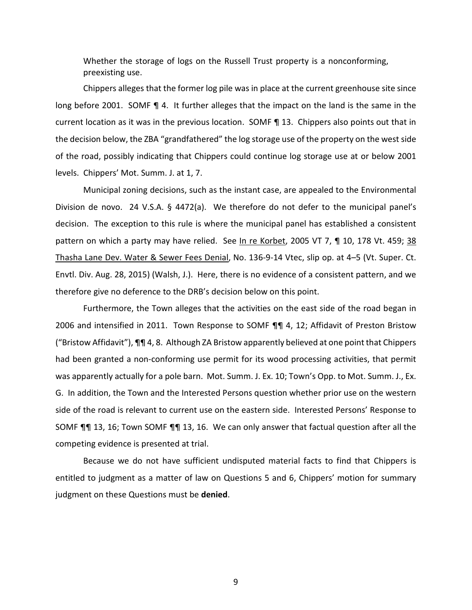Whether the storage of logs on the Russell Trust property is a nonconforming, preexisting use.

Chippers alleges that the former log pile was in place at the current greenhouse site since long before 2001. SOMF ¶ 4. It further alleges that the impact on the land is the same in the current location as it was in the previous location. SOMF ¶ 13. Chippers also points out that in the decision below, the ZBA "grandfathered" the log storage use of the property on the west side of the road, possibly indicating that Chippers could continue log storage use at or below 2001 levels. Chippers' Mot. Summ. J. at 1, 7.

Municipal zoning decisions, such as the instant case, are appealed to the Environmental Division de novo. 24 V.S.A. § 4472(a). We therefore do not defer to the municipal panel's decision. The exception to this rule is where the municipal panel has established a consistent pattern on which a party may have relied. See In re Korbet, 2005 VT 7, ¶ 10, 178 Vt. 459; 38 Thasha Lane Dev. Water & Sewer Fees Denial, No. 136-9-14 Vtec, slip op. at 4–5 (Vt. Super. Ct. Envtl. Div. Aug. 28, 2015) (Walsh, J.). Here, there is no evidence of a consistent pattern, and we therefore give no deference to the DRB's decision below on this point.

Furthermore, the Town alleges that the activities on the east side of the road began in 2006 and intensified in 2011. Town Response to SOMF ¶¶ 4, 12; Affidavit of Preston Bristow ("Bristow Affidavit"), ¶¶ 4, 8. Although ZA Bristow apparently believed at one point that Chippers had been granted a non-conforming use permit for its wood processing activities, that permit was apparently actually for a pole barn. Mot. Summ. J. Ex. 10; Town's Opp. to Mot. Summ. J., Ex. G. In addition, the Town and the Interested Persons question whether prior use on the western side of the road is relevant to current use on the eastern side. Interested Persons' Response to SOMF ¶¶ 13, 16; Town SOMF ¶¶ 13, 16. We can only answer that factual question after all the competing evidence is presented at trial.

Because we do not have sufficient undisputed material facts to find that Chippers is entitled to judgment as a matter of law on Questions 5 and 6, Chippers' motion for summary judgment on these Questions must be **denied**.